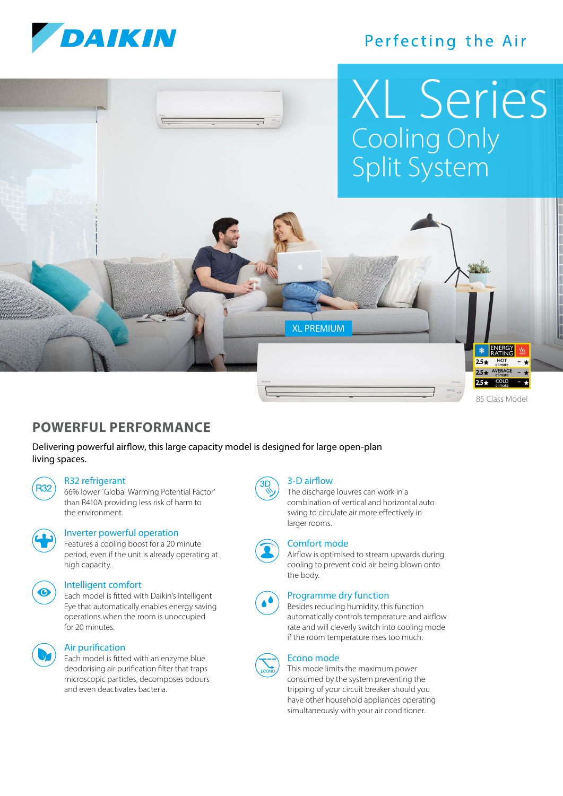

# Perfecting the Air



**POWERFUL PERFORMANCE**

Delivering powerful airflow, this large capacity model is designed for large open-plan living spaces.

#### R32 refrigerant

R32) 66% lower `Global Warming Potential Factor' than R410A providing less risk of harm to the environment.



#### Inverter powerful operation

 Features a cooling boost for a 20 minute period, even if the unit is already operating at high capacity.



#### Intelligent comfort

 Each model is fitted with Daikin's Intelligent Eye that automatically enables energy saving operations when the room is unoccupied for 20 minutes.



#### Air purification

 Each model is fitted with an enzyme blue deodorising air purification filter that traps microscopic particles, decomposes odours and even deactivates bacteria.

# 3-D airflow

 The discharge louvres can work in a combination of vertical and horizontal auto swing to circulate air more effectively in larger rooms.



#### Comfort mode

 Airflow is optimised to stream upwards during cooling to prevent cold air being blown onto the body.



### Programme dry function

 Besides reducing humidity, this function automatically controls temperature and airflow rate and will cleverly switch into cooling mode if the room temperature rises too much.



#### Econo mode

 This mode limits the maximum power consumed by the system preventing the tripping of your circuit breaker should you have other household appliances operating simultaneously with your air conditioner.